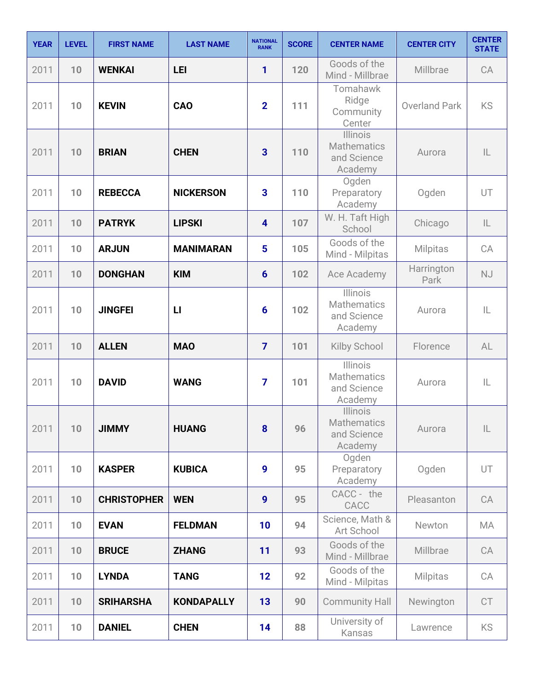| <b>YEAR</b> | <b>LEVEL</b> | <b>FIRST NAME</b>  | <b>LAST NAME</b>  | <b>NATIONAL</b><br><b>RANK</b> | <b>SCORE</b> | <b>CENTER NAME</b>                                       | <b>CENTER CITY</b>   | <b>CENTER</b><br><b>STATE</b> |
|-------------|--------------|--------------------|-------------------|--------------------------------|--------------|----------------------------------------------------------|----------------------|-------------------------------|
| 2011        | 10           | <b>WENKAI</b>      | <b>LEI</b>        | 1                              | 120          | Goods of the<br>Mind - Millbrae                          | Millbrae             | CA                            |
| 2011        | 10           | <b>KEVIN</b>       | <b>CAO</b>        | $\overline{2}$                 | 111          | Tomahawk<br>Ridge<br>Community<br>Center                 | <b>Overland Park</b> | KS                            |
| 2011        | 10           | <b>BRIAN</b>       | <b>CHEN</b>       | 3                              | 110          | Illinois<br><b>Mathematics</b><br>and Science<br>Academy | Aurora               | $\mathsf{IL}$                 |
| 2011        | 10           | <b>REBECCA</b>     | <b>NICKERSON</b>  | $\overline{\mathbf{3}}$        | 110          | Ogden<br>Preparatory<br>Academy                          | Ogden                | UT                            |
| 2011        | 10           | <b>PATRYK</b>      | <b>LIPSKI</b>     | $\overline{\mathbf{4}}$        | 107          | W. H. Taft High<br>School                                | Chicago              | $\mathsf{IL}$                 |
| 2011        | 10           | <b>ARJUN</b>       | <b>MANIMARAN</b>  | 5                              | 105          | Goods of the<br>Mind - Milpitas                          | Milpitas             | CA                            |
| 2011        | 10           | <b>DONGHAN</b>     | <b>KIM</b>        | $6\phantom{1}6$                | 102          | Ace Academy                                              | Harrington<br>Park   | <b>NJ</b>                     |
| 2011        | 10           | <b>JINGFEI</b>     | $\mathsf{L}$      | $6\phantom{1}6$                | 102          | Illinois<br><b>Mathematics</b><br>and Science<br>Academy | Aurora               | IL                            |
| 2011        | 10           | <b>ALLEN</b>       | <b>MAO</b>        | $\overline{7}$                 | 101          | <b>Kilby School</b>                                      | Florence             | AL                            |
| 2011        | 10           | <b>DAVID</b>       | <b>WANG</b>       | $\overline{7}$                 | 101          | Illinois<br><b>Mathematics</b><br>and Science<br>Academy | Aurora               | IL                            |
| 2011        | 10           | <b>JIMMY</b>       | <b>HUANG</b>      | 8                              | 96           | <b>Illinois</b><br>Mathematics<br>and Science<br>Academy | Aurora               | IL                            |
| 2011        | 10           | <b>KASPER</b>      | <b>KUBICA</b>     | 9                              | 95           | Ogden<br>Preparatory<br>Academy                          | Ogden                | UT                            |
| 2011        | 10           | <b>CHRISTOPHER</b> | <b>WEN</b>        | $\boldsymbol{9}$               | 95           | CACC - the<br>CACC                                       | Pleasanton           | CA                            |
| 2011        | 10           | <b>EVAN</b>        | <b>FELDMAN</b>    | 10                             | 94           | Science, Math &<br>Art School                            | Newton               | MA                            |
| 2011        | 10           | <b>BRUCE</b>       | <b>ZHANG</b>      | 11                             | 93           | Goods of the<br>Mind - Millbrae                          | Millbrae             | CA                            |
| 2011        | 10           | <b>LYNDA</b>       | <b>TANG</b>       | 12                             | 92           | Goods of the<br>Mind - Milpitas                          | <b>Milpitas</b>      | CA                            |
| 2011        | 10           | <b>SRIHARSHA</b>   | <b>KONDAPALLY</b> | 13                             | 90           | <b>Community Hall</b>                                    | Newington            | CT                            |
| 2011        | 10           | <b>DANIEL</b>      | <b>CHEN</b>       | 14                             | 88           | University of<br>Kansas                                  | Lawrence             | KS                            |